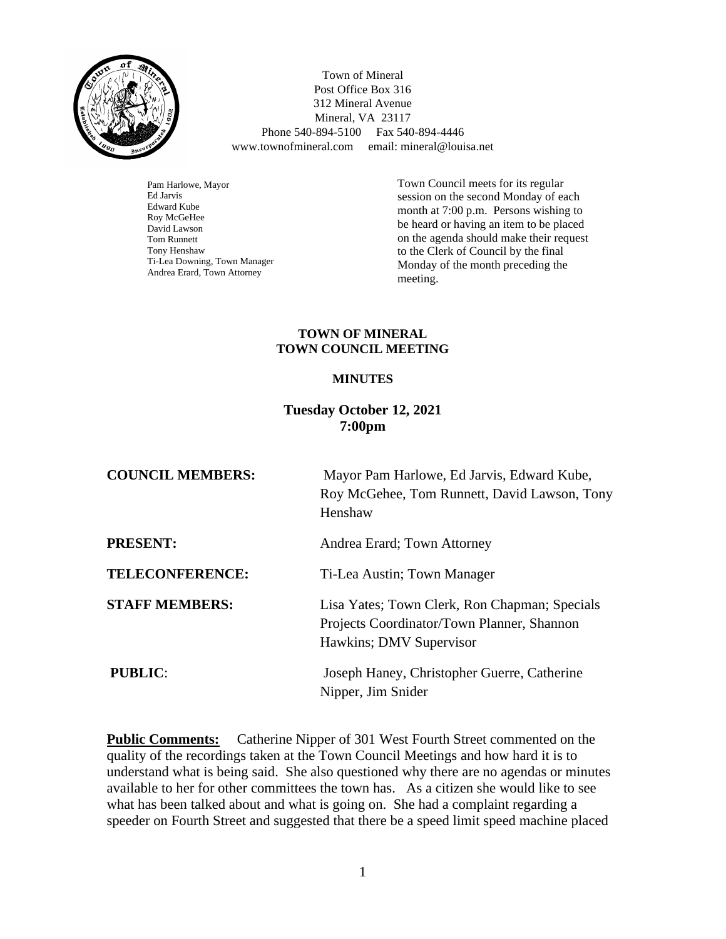

 Town of Mineral Post Office Box 316 312 Mineral Avenue Mineral, VA 23117 Phone 540-894-5100 Fax 540-894-4446 www.townofmineral.com email: mineral@louisa.net

Pam Harlowe, Mayor Ed Jarvis Edward Kube Roy McGeHee David Lawson Tom Runnett Tony Henshaw Ti-Lea Downing, Town Manager Andrea Erard, Town Attorney

Town Council meets for its regular session on the second Monday of each month at 7:00 p.m. Persons wishing to be heard or having an item to be placed on the agenda should make their request to the Clerk of Council by the final Monday of the month preceding the meeting.

#### **TOWN OF MINERAL TOWN COUNCIL MEETING**

#### **MINUTES**

# **Tuesday October 12, 2021 7:00pm**

| <b>COUNCIL MEMBERS:</b> | Mayor Pam Harlowe, Ed Jarvis, Edward Kube,<br>Roy McGehee, Tom Runnett, David Lawson, Tony<br>Henshaw                  |
|-------------------------|------------------------------------------------------------------------------------------------------------------------|
| <b>PRESENT:</b>         | Andrea Erard; Town Attorney                                                                                            |
| <b>TELECONFERENCE:</b>  | Ti-Lea Austin; Town Manager                                                                                            |
| <b>STAFF MEMBERS:</b>   | Lisa Yates; Town Clerk, Ron Chapman; Specials<br>Projects Coordinator/Town Planner, Shannon<br>Hawkins; DMV Supervisor |
| <b>PUBLIC:</b>          | Joseph Haney, Christopher Guerre, Catherine<br>Nipper, Jim Snider                                                      |

**Public Comments:** Catherine Nipper of 301 West Fourth Street commented on the quality of the recordings taken at the Town Council Meetings and how hard it is to understand what is being said. She also questioned why there are no agendas or minutes available to her for other committees the town has. As a citizen she would like to see what has been talked about and what is going on. She had a complaint regarding a speeder on Fourth Street and suggested that there be a speed limit speed machine placed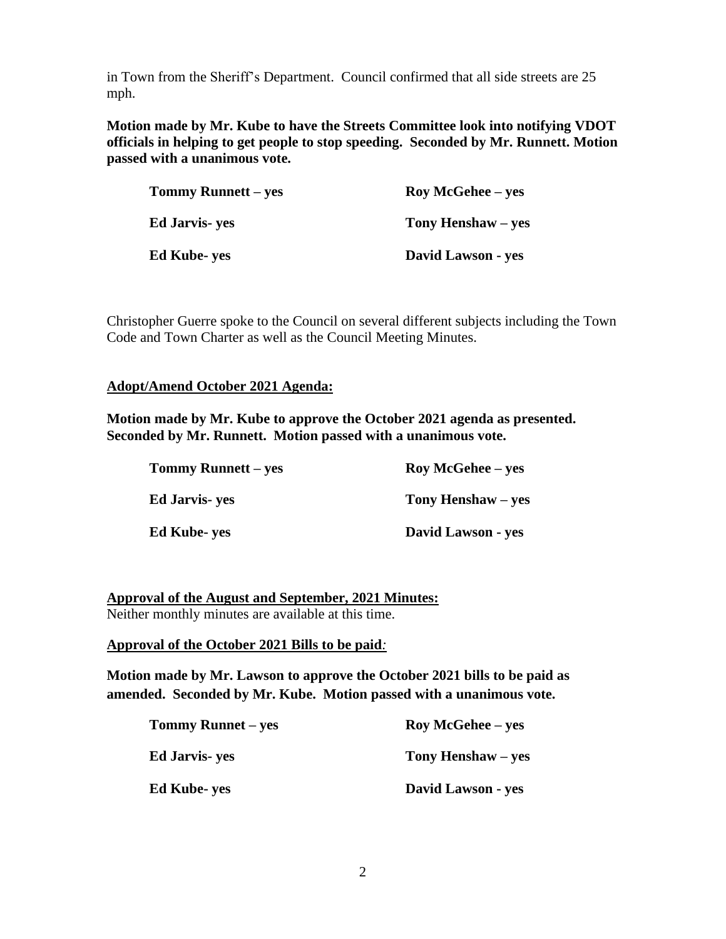in Town from the Sheriff's Department. Council confirmed that all side streets are 25 mph.

**Motion made by Mr. Kube to have the Streets Committee look into notifying VDOT officials in helping to get people to stop speeding. Seconded by Mr. Runnett. Motion passed with a unanimous vote.** 

| <b>Tommy Runnett</b> – yes | <b>Roy McGehee</b> – yes |
|----------------------------|--------------------------|
| <b>Ed Jarvis</b> - yes     | Tony Henshaw – yes       |
| <b>Ed Kube-yes</b>         | David Lawson - yes       |

Christopher Guerre spoke to the Council on several different subjects including the Town Code and Town Charter as well as the Council Meeting Minutes.

#### **Adopt/Amend October 2021 Agenda:**

**Motion made by Mr. Kube to approve the October 2021 agenda as presented. Seconded by Mr. Runnett. Motion passed with a unanimous vote.**

| <b>Tommy Runnett – yes</b> | <b>Roy McGehee</b> – yes |
|----------------------------|--------------------------|
| <b>Ed Jarvis- yes</b>      | Tony Henshaw – yes       |
| <b>Ed Kube- yes</b>        | David Lawson - yes       |

**Approval of the August and September, 2021 Minutes:** Neither monthly minutes are available at this time.

**Approval of the October 2021 Bills to be paid***:*

**Motion made by Mr. Lawson to approve the October 2021 bills to be paid as amended. Seconded by Mr. Kube. Motion passed with a unanimous vote.** 

| <b>Tommy Runnet – yes</b> | <b>Roy McGehee</b> – yes |
|---------------------------|--------------------------|
| <b>Ed Jarvis</b> - yes    | Tony Henshaw – yes       |
| <b>Ed Kube-yes</b>        | David Lawson - yes       |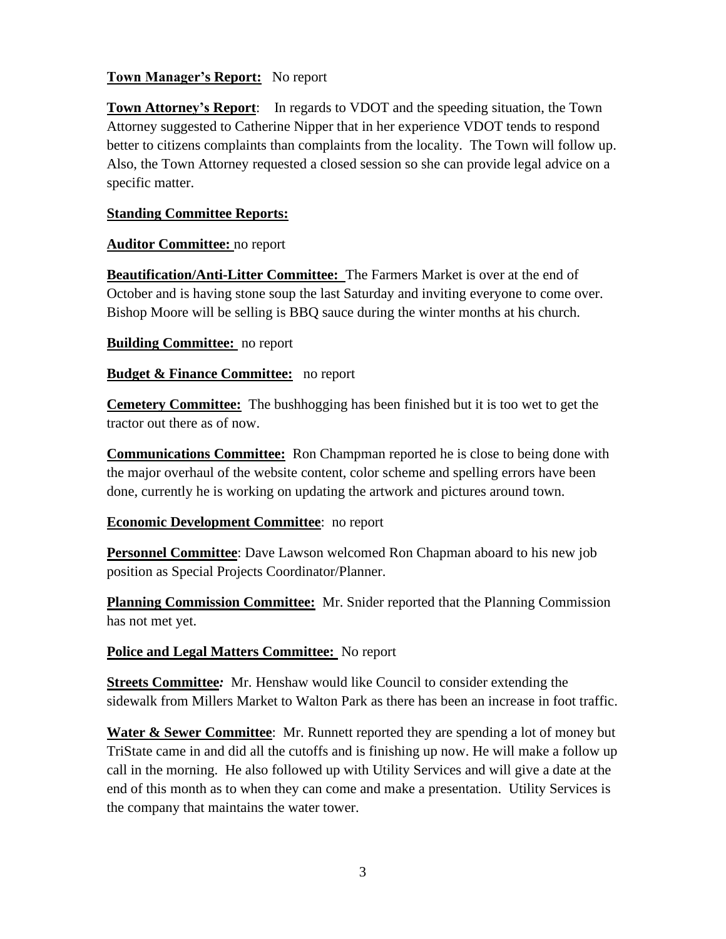# **Town Manager's Report:** No report

**Town Attorney's Report**: In regards to VDOT and the speeding situation, the Town Attorney suggested to Catherine Nipper that in her experience VDOT tends to respond better to citizens complaints than complaints from the locality. The Town will follow up. Also, the Town Attorney requested a closed session so she can provide legal advice on a specific matter.

#### **Standing Committee Reports:**

#### **Auditor Committee:** no report

**Beautification/Anti-Litter Committee:** The Farmers Market is over at the end of October and is having stone soup the last Saturday and inviting everyone to come over. Bishop Moore will be selling is BBQ sauce during the winter months at his church.

#### **Building Committee:** no report

#### **Budget & Finance Committee:** no report

**Cemetery Committee:** The bushhogging has been finished but it is too wet to get the tractor out there as of now.

**Communications Committee:** Ron Champman reported he is close to being done with the major overhaul of the website content, color scheme and spelling errors have been done, currently he is working on updating the artwork and pictures around town.

# **Economic Development Committee**: no report

**Personnel Committee**: Dave Lawson welcomed Ron Chapman aboard to his new job position as Special Projects Coordinator/Planner.

**Planning Commission Committee:** Mr. Snider reported that the Planning Commission has not met yet.

# **Police and Legal Matters Committee:** No report

**Streets Committee***:* Mr. Henshaw would like Council to consider extending the sidewalk from Millers Market to Walton Park as there has been an increase in foot traffic.

**Water & Sewer Committee**: Mr. Runnett reported they are spending a lot of money but TriState came in and did all the cutoffs and is finishing up now. He will make a follow up call in the morning. He also followed up with Utility Services and will give a date at the end of this month as to when they can come and make a presentation. Utility Services is the company that maintains the water tower.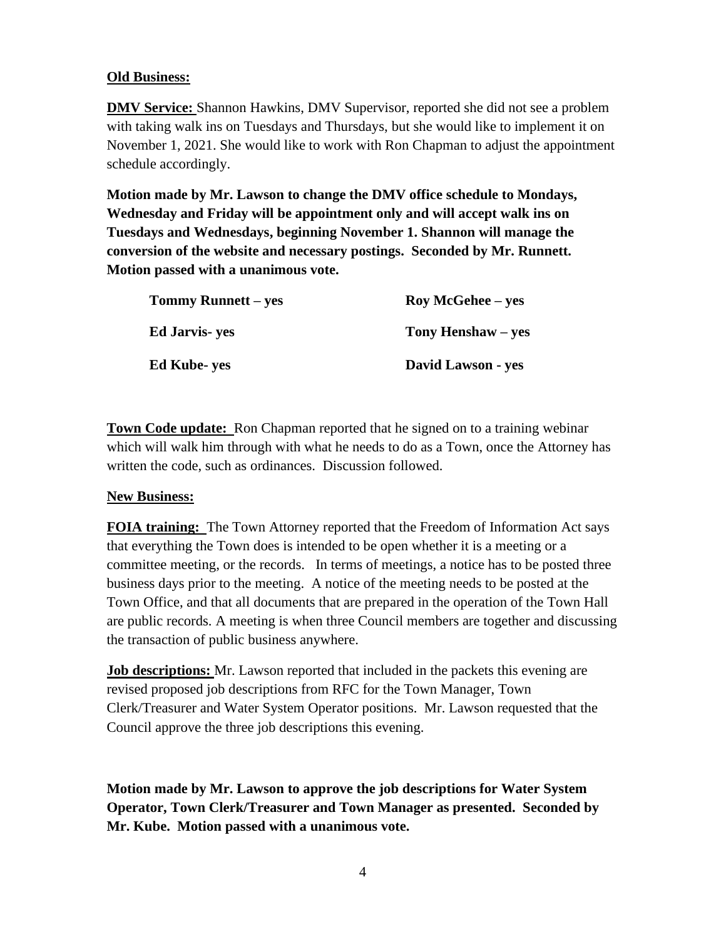# **Old Business:**

**DMV Service:** Shannon Hawkins, DMV Supervisor, reported she did not see a problem with taking walk ins on Tuesdays and Thursdays, but she would like to implement it on November 1, 2021. She would like to work with Ron Chapman to adjust the appointment schedule accordingly.

**Motion made by Mr. Lawson to change the DMV office schedule to Mondays, Wednesday and Friday will be appointment only and will accept walk ins on Tuesdays and Wednesdays, beginning November 1. Shannon will manage the conversion of the website and necessary postings. Seconded by Mr. Runnett. Motion passed with a unanimous vote.**

| Tommy Runnett – yes    | <b>Roy McGehee</b> – yes |
|------------------------|--------------------------|
| <b>Ed Jarvis</b> - yes | Tony Henshaw – yes       |
| <b>Ed Kube-yes</b>     | David Lawson - yes       |

**Town Code update:** Ron Chapman reported that he signed on to a training webinar which will walk him through with what he needs to do as a Town, once the Attorney has written the code, such as ordinances. Discussion followed.

#### **New Business:**

**FOIA training:** The Town Attorney reported that the Freedom of Information Act says that everything the Town does is intended to be open whether it is a meeting or a committee meeting, or the records. In terms of meetings, a notice has to be posted three business days prior to the meeting. A notice of the meeting needs to be posted at the Town Office, and that all documents that are prepared in the operation of the Town Hall are public records. A meeting is when three Council members are together and discussing the transaction of public business anywhere.

**Job descriptions:** Mr. Lawson reported that included in the packets this evening are revised proposed job descriptions from RFC for the Town Manager, Town Clerk/Treasurer and Water System Operator positions. Mr. Lawson requested that the Council approve the three job descriptions this evening.

**Motion made by Mr. Lawson to approve the job descriptions for Water System Operator, Town Clerk/Treasurer and Town Manager as presented. Seconded by Mr. Kube. Motion passed with a unanimous vote.**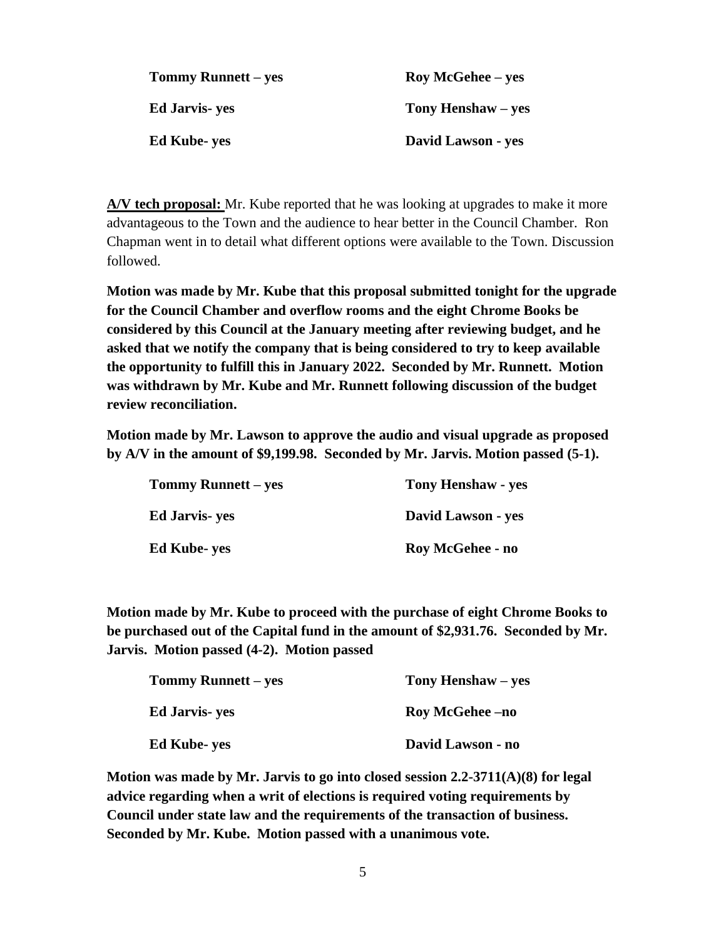| Tommy Runnett – yes   | <b>Roy McGehee</b> – yes |
|-----------------------|--------------------------|
| <b>Ed Jarvis- yes</b> | Tony Henshaw – yes       |
| <b>Ed Kube- yes</b>   | David Lawson - yes       |

**A/V tech proposal:** Mr. Kube reported that he was looking at upgrades to make it more advantageous to the Town and the audience to hear better in the Council Chamber. Ron Chapman went in to detail what different options were available to the Town. Discussion followed.

**Motion was made by Mr. Kube that this proposal submitted tonight for the upgrade for the Council Chamber and overflow rooms and the eight Chrome Books be considered by this Council at the January meeting after reviewing budget, and he asked that we notify the company that is being considered to try to keep available the opportunity to fulfill this in January 2022. Seconded by Mr. Runnett. Motion was withdrawn by Mr. Kube and Mr. Runnett following discussion of the budget review reconciliation.**

**Motion made by Mr. Lawson to approve the audio and visual upgrade as proposed by A/V in the amount of \$9,199.98. Seconded by Mr. Jarvis. Motion passed (5-1).** 

| <b>Tommy Runnett – yes</b> | <b>Tony Henshaw - yes</b> |
|----------------------------|---------------------------|
| <b>Ed Jarvis</b> - yes     | David Lawson - yes        |
| <b>Ed Kube- yes</b>        | Roy McGehee - no          |

**Motion made by Mr. Kube to proceed with the purchase of eight Chrome Books to be purchased out of the Capital fund in the amount of \$2,931.76. Seconded by Mr. Jarvis. Motion passed (4-2). Motion passed** 

| Tommy Runnett – yes   | Tony Henshaw – yes     |
|-----------------------|------------------------|
| <b>Ed Jarvis- yes</b> | <b>Roy McGehee –no</b> |
| <b>Ed Kube-yes</b>    | David Lawson - no      |

**Motion was made by Mr. Jarvis to go into closed session 2.2-3711(A)(8) for legal advice regarding when a writ of elections is required voting requirements by Council under state law and the requirements of the transaction of business. Seconded by Mr. Kube. Motion passed with a unanimous vote.**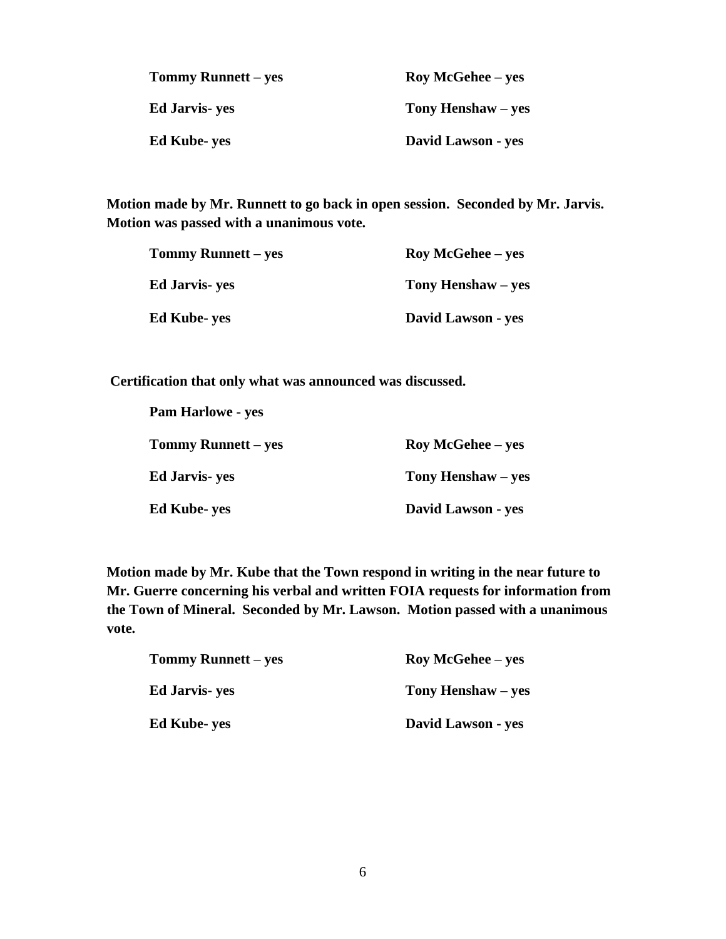| Tommy Runnett – yes | <b>Roy McGehee</b> – yes |
|---------------------|--------------------------|
| Ed Jarvis- yes      | Tony Henshaw – yes       |
| Ed Kube- ves        | David Lawson - yes       |

**Motion made by Mr. Runnett to go back in open session. Seconded by Mr. Jarvis. Motion was passed with a unanimous vote.**

| Tommy Runnett – yes | <b>Roy McGehee</b> – yes |
|---------------------|--------------------------|
| Ed Jarvis- yes      | Tony Henshaw – yes       |
| Ed Kube- yes        | David Lawson - yes       |

**Certification that only what was announced was discussed.**

| <b>Pam Harlowe - yes</b>   |                          |
|----------------------------|--------------------------|
| <b>Tommy Runnett</b> – yes | <b>Roy McGehee</b> – yes |
| <b>Ed Jarvis</b> - yes     | Tony Henshaw – yes       |
| <b>Ed Kube-yes</b>         | David Lawson - yes       |

**Motion made by Mr. Kube that the Town respond in writing in the near future to Mr. Guerre concerning his verbal and written FOIA requests for information from the Town of Mineral. Seconded by Mr. Lawson. Motion passed with a unanimous vote.** 

| <b>Tommy Runnett – yes</b> | <b>Roy McGehee</b> – yes |
|----------------------------|--------------------------|
| <b>Ed Jarvis</b> - yes     | Tony Henshaw – yes       |
| <b>Ed Kube-yes</b>         | David Lawson - yes       |